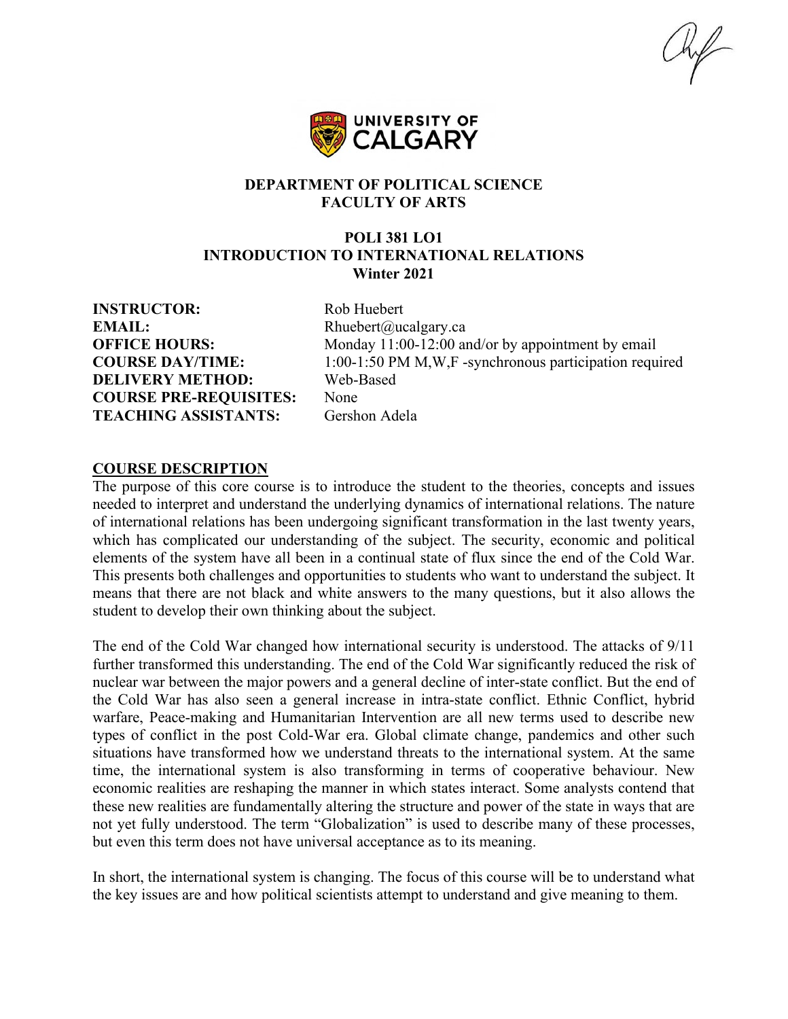

#### **DEPARTMENT OF POLITICAL SCIENCE FACULTY OF ARTS**

#### **POLI 381 LO1 INTRODUCTION TO INTERNATIONAL RELATIONS Winter 2021**

**INSTRUCTOR:** Rob Huebert **EMAIL:** Rhuebert@ucalgary.ca **DELIVERY METHOD:** Web-Based **COURSE PRE-REQUISITES:** None **TEACHING ASSISTANTS:** Gershon Adela

**OFFICE HOURS:** Monday 11:00-12:00 and/or by appointment by email **COURSE DAY/TIME:** 1:00-1:50 PM M,W,F -synchronous participation required

#### **COURSE DESCRIPTION**

The purpose of this core course is to introduce the student to the theories, concepts and issues needed to interpret and understand the underlying dynamics of international relations. The nature of international relations has been undergoing significant transformation in the last twenty years, which has complicated our understanding of the subject. The security, economic and political elements of the system have all been in a continual state of flux since the end of the Cold War. This presents both challenges and opportunities to students who want to understand the subject. It means that there are not black and white answers to the many questions, but it also allows the student to develop their own thinking about the subject.

The end of the Cold War changed how international security is understood. The attacks of 9/11 further transformed this understanding. The end of the Cold War significantly reduced the risk of nuclear war between the major powers and a general decline of inter-state conflict. But the end of the Cold War has also seen a general increase in intra-state conflict. Ethnic Conflict, hybrid warfare, Peace-making and Humanitarian Intervention are all new terms used to describe new types of conflict in the post Cold-War era. Global climate change, pandemics and other such situations have transformed how we understand threats to the international system. At the same time, the international system is also transforming in terms of cooperative behaviour. New economic realities are reshaping the manner in which states interact. Some analysts contend that these new realities are fundamentally altering the structure and power of the state in ways that are not yet fully understood. The term "Globalization" is used to describe many of these processes, but even this term does not have universal acceptance as to its meaning.

In short, the international system is changing. The focus of this course will be to understand what the key issues are and how political scientists attempt to understand and give meaning to them.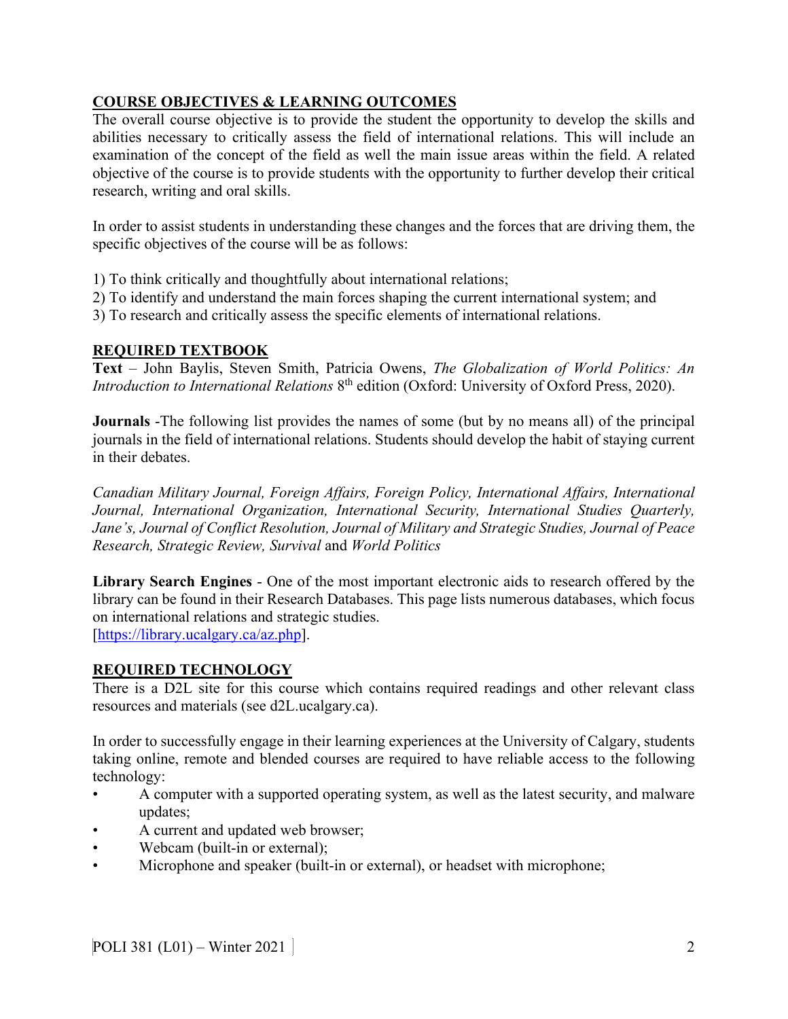# **COURSE OBJECTIVES & LEARNING OUTCOMES**

The overall course objective is to provide the student the opportunity to develop the skills and abilities necessary to critically assess the field of international relations. This will include an examination of the concept of the field as well the main issue areas within the field. A related objective of the course is to provide students with the opportunity to further develop their critical research, writing and oral skills.

In order to assist students in understanding these changes and the forces that are driving them, the specific objectives of the course will be as follows:

- 1) To think critically and thoughtfully about international relations;
- 2) To identify and understand the main forces shaping the current international system; and
- 3) To research and critically assess the specific elements of international relations.

## **REQUIRED TEXTBOOK**

**Text** – John Baylis, Steven Smith, Patricia Owens, *The Globalization of World Politics: An Introduction to International Relations* 8<sup>th</sup> edition (Oxford: University of Oxford Press, 2020).

**Journals** -The following list provides the names of some (but by no means all) of the principal journals in the field of international relations. Students should develop the habit of staying current in their debates.

*Canadian Military Journal, Foreign Affairs, Foreign Policy, International Affairs, International Journal, International Organization, International Security, International Studies Quarterly, Jane's, Journal of Conflict Resolution, Journal of Military and Strategic Studies, Journal of Peace Research, Strategic Review, Survival* and *World Politics*

**Library Search Engines** - One of the most important electronic aids to research offered by the library can be found in their Research Databases. This page lists numerous databases, which focus on international relations and strategic studies.

[\[https://library.ucalgary.ca/az.php\]](https://library.ucalgary.ca/az.php).

## **REQUIRED TECHNOLOGY**

There is a D2L site for this course which contains required readings and other relevant class resources and materials (see d2L.ucalgary.ca).

In order to successfully engage in their learning experiences at the University of Calgary, students taking online, remote and blended courses are required to have reliable access to the following technology:

- A computer with a supported operating system, as well as the latest security, and malware updates;
- A current and updated web browser;
- Webcam (built-in or external);
- Microphone and speaker (built-in or external), or headset with microphone;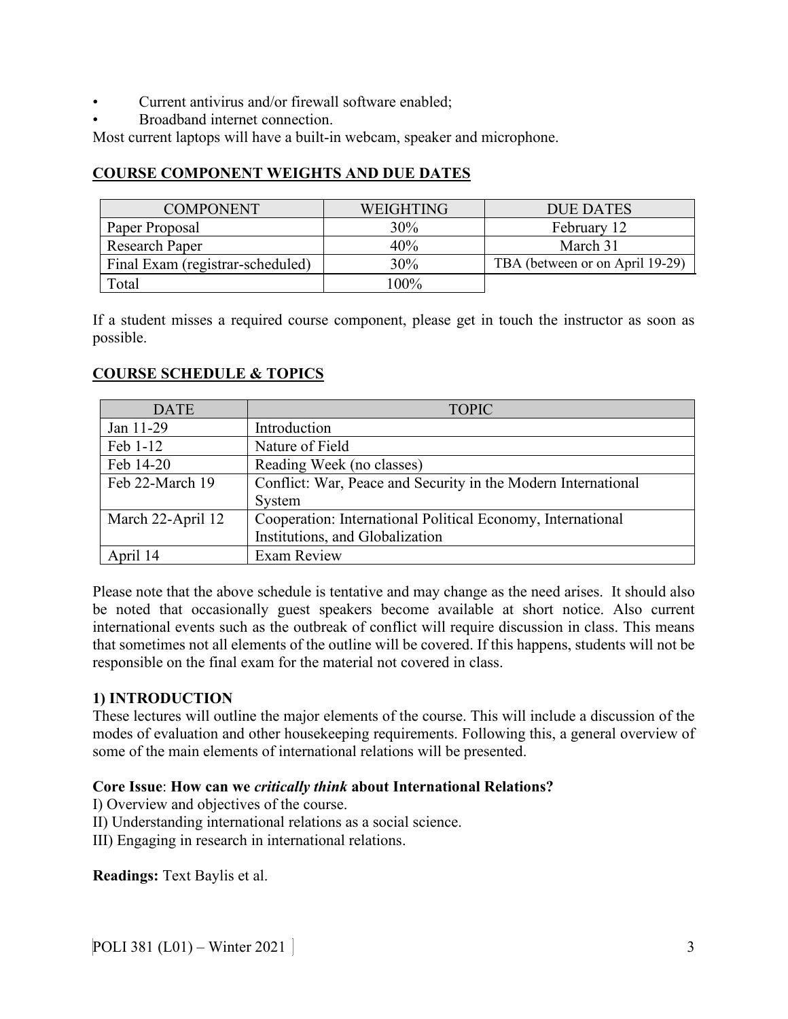- Current antivirus and/or firewall software enabled;
- Broadband internet connection.

Most current laptops will have a built-in webcam, speaker and microphone.

## **COURSE COMPONENT WEIGHTS AND DUE DATES**

| <b>COMPONENT</b>                 | <b>WEIGHTING</b> | <b>DUE DATES</b>                |
|----------------------------------|------------------|---------------------------------|
| Paper Proposal                   | 30%              | February 12                     |
| Research Paper                   | 40%              | March 31                        |
| Final Exam (registrar-scheduled) | 30%              | TBA (between or on April 19-29) |
| Total                            | $100\%$          |                                 |

If a student misses a required course component, please get in touch the instructor as soon as possible.

## **COURSE SCHEDULE & TOPICS**

| <b>DATE</b>       | <b>TOPIC</b>                                                  |
|-------------------|---------------------------------------------------------------|
| Jan 11-29         | Introduction                                                  |
| Feb 1-12          | Nature of Field                                               |
| Feb 14-20         | Reading Week (no classes)                                     |
| Feb 22-March 19   | Conflict: War, Peace and Security in the Modern International |
|                   | System                                                        |
| March 22-April 12 | Cooperation: International Political Economy, International   |
|                   | Institutions, and Globalization                               |
| April 14          | <b>Exam Review</b>                                            |

Please note that the above schedule is tentative and may change as the need arises. It should also be noted that occasionally guest speakers become available at short notice. Also current international events such as the outbreak of conflict will require discussion in class. This means that sometimes not all elements of the outline will be covered. If this happens, students will not be responsible on the final exam for the material not covered in class.

#### **1) INTRODUCTION**

These lectures will outline the major elements of the course. This will include a discussion of the modes of evaluation and other housekeeping requirements. Following this, a general overview of some of the main elements of international relations will be presented.

#### **Core Issue**: **How can we** *critically think* **about International Relations?**

I) Overview and objectives of the course.

II) Understanding international relations as a social science.

III) Engaging in research in international relations.

**Readings:** Text Baylis et al.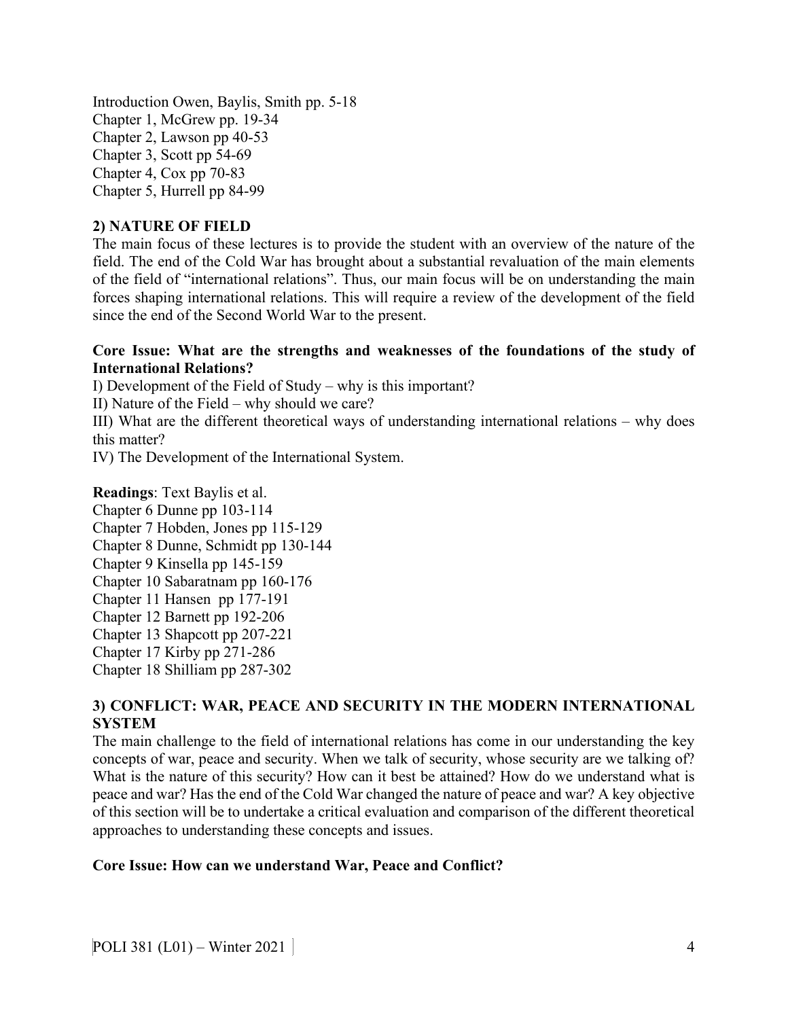Introduction Owen, Baylis, Smith pp. 5-18 Chapter 1, McGrew pp. 19-34 Chapter 2, Lawson pp 40-53 Chapter 3, Scott pp 54-69 Chapter 4, Cox pp 70-83 Chapter 5, Hurrell pp 84-99

#### **2) NATURE OF FIELD**

The main focus of these lectures is to provide the student with an overview of the nature of the field. The end of the Cold War has brought about a substantial revaluation of the main elements of the field of "international relations". Thus, our main focus will be on understanding the main forces shaping international relations. This will require a review of the development of the field since the end of the Second World War to the present.

#### **Core Issue: What are the strengths and weaknesses of the foundations of the study of International Relations?**

I) Development of the Field of Study – why is this important?

II) Nature of the Field – why should we care?

III) What are the different theoretical ways of understanding international relations – why does this matter?

IV) The Development of the International System.

**Readings**: Text Baylis et al. Chapter 6 Dunne pp 103-114 Chapter 7 Hobden, Jones pp 115-129 Chapter 8 Dunne, Schmidt pp 130-144 Chapter 9 Kinsella pp 145-159 Chapter 10 Sabaratnam pp 160-176 Chapter 11 Hansen pp 177-191 Chapter 12 Barnett pp 192-206 Chapter 13 Shapcott pp 207-221 Chapter 17 Kirby pp 271-286 Chapter 18 Shilliam pp 287-302

# **3) CONFLICT: WAR, PEACE AND SECURITY IN THE MODERN INTERNATIONAL SYSTEM**

The main challenge to the field of international relations has come in our understanding the key concepts of war, peace and security. When we talk of security, whose security are we talking of? What is the nature of this security? How can it best be attained? How do we understand what is peace and war? Has the end of the Cold War changed the nature of peace and war? A key objective of this section will be to undertake a critical evaluation and comparison of the different theoretical approaches to understanding these concepts and issues.

#### **Core Issue: How can we understand War, Peace and Conflict?**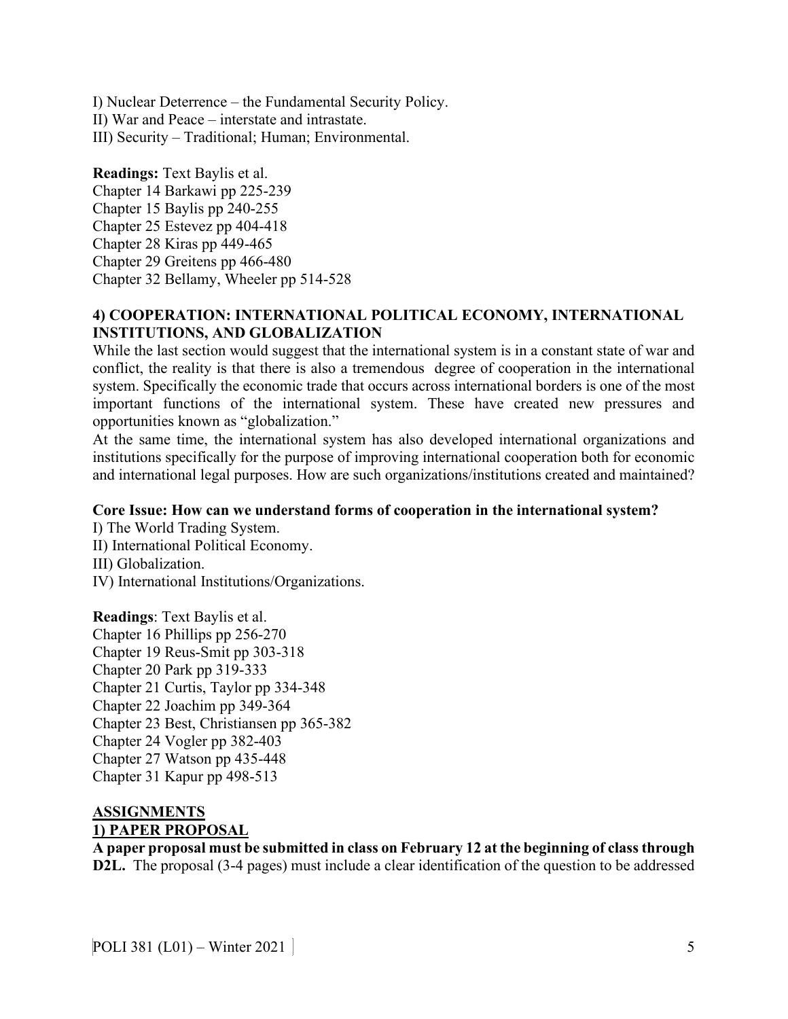I) Nuclear Deterrence – the Fundamental Security Policy. II) War and Peace – interstate and intrastate. III) Security – Traditional; Human; Environmental.

### **Readings:** Text Baylis et al.

Chapter 14 Barkawi pp 225-239 Chapter 15 Baylis pp 240-255 Chapter 25 Estevez pp 404-418 Chapter 28 Kiras pp 449-465 Chapter 29 Greitens pp 466-480 Chapter 32 Bellamy, Wheeler pp 514-528

## **4) COOPERATION: INTERNATIONAL POLITICAL ECONOMY, INTERNATIONAL INSTITUTIONS, AND GLOBALIZATION**

While the last section would suggest that the international system is in a constant state of war and conflict, the reality is that there is also a tremendous degree of cooperation in the international system. Specifically the economic trade that occurs across international borders is one of the most important functions of the international system. These have created new pressures and opportunities known as "globalization."

At the same time, the international system has also developed international organizations and institutions specifically for the purpose of improving international cooperation both for economic and international legal purposes. How are such organizations/institutions created and maintained?

## **Core Issue: How can we understand forms of cooperation in the international system?**

I) The World Trading System. II) International Political Economy. III) Globalization. IV) International Institutions/Organizations.

**Readings**: Text Baylis et al. Chapter 16 Phillips pp 256-270 Chapter 19 Reus-Smit pp 303-318 Chapter 20 Park pp 319-333 Chapter 21 Curtis, Taylor pp 334-348 Chapter 22 Joachim pp 349-364 Chapter 23 Best, Christiansen pp 365-382 Chapter 24 Vogler pp 382-403 Chapter 27 Watson pp 435-448 Chapter 31 Kapur pp 498-513

## **ASSIGNMENTS 1) PAPER PROPOSAL**

**A paper proposal must be submitted in class on February 12 at the beginning of class through D2L.** The proposal (3-4 pages) must include a clear identification of the question to be addressed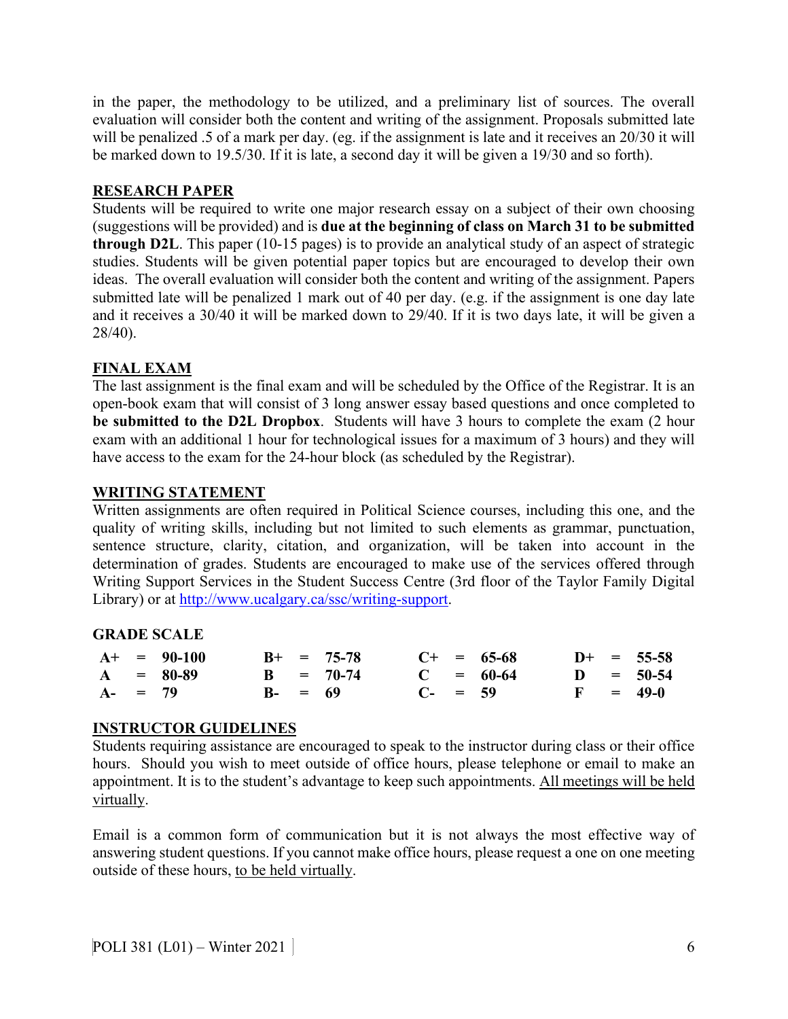in the paper, the methodology to be utilized, and a preliminary list of sources. The overall evaluation will consider both the content and writing of the assignment. Proposals submitted late will be penalized .5 of a mark per day. (eg. if the assignment is late and it receives an 20/30 it will be marked down to 19.5/30. If it is late, a second day it will be given a 19/30 and so forth).

## **RESEARCH PAPER**

Students will be required to write one major research essay on a subject of their own choosing (suggestions will be provided) and is **due at the beginning of class on March 31 to be submitted through D2L**. This paper (10-15 pages) is to provide an analytical study of an aspect of strategic studies. Students will be given potential paper topics but are encouraged to develop their own ideas. The overall evaluation will consider both the content and writing of the assignment. Papers submitted late will be penalized 1 mark out of 40 per day. (e.g. if the assignment is one day late and it receives a 30/40 it will be marked down to 29/40. If it is two days late, it will be given a 28/40).

# **FINAL EXAM**

The last assignment is the final exam and will be scheduled by the Office of the Registrar. It is an open-book exam that will consist of 3 long answer essay based questions and once completed to **be submitted to the D2L Dropbox**. Students will have 3 hours to complete the exam (2 hour exam with an additional 1 hour for technological issues for a maximum of 3 hours) and they will have access to the exam for the 24-hour block (as scheduled by the Registrar).

## **WRITING STATEMENT**

Written assignments are often required in Political Science courses, including this one, and the quality of writing skills, including but not limited to such elements as grammar, punctuation, sentence structure, clarity, citation, and organization, will be taken into account in the determination of grades. Students are encouraged to make use of the services offered through Writing Support Services in the Student Success Centre (3rd floor of the Taylor Family Digital Library) or at [http://www.ucalgary.ca/ssc/writing-support.](http://www.ucalgary.ca/ssc/writing-support)

## **GRADE SCALE**

|            | $A^+$ = 90-100 |            | $B+ = 75-78$ |              | $C+ = 65-68$ |  | $D+ = 55-58$ |
|------------|----------------|------------|--------------|--------------|--------------|--|--------------|
|            | $A = 80-89$    |            | $B = 70-74$  |              | $C = 60-64$  |  | $D = 50-54$  |
| $A - = 79$ |                | $B - = 69$ |              | $C_{-}$ = 59 |              |  | $F = 49-0$   |

## **INSTRUCTOR GUIDELINES**

Students requiring assistance are encouraged to speak to the instructor during class or their office hours. Should you wish to meet outside of office hours, please telephone or email to make an appointment. It is to the student's advantage to keep such appointments. All meetings will be held virtually.

Email is a common form of communication but it is not always the most effective way of answering student questions. If you cannot make office hours, please request a one on one meeting outside of these hours, to be held virtually.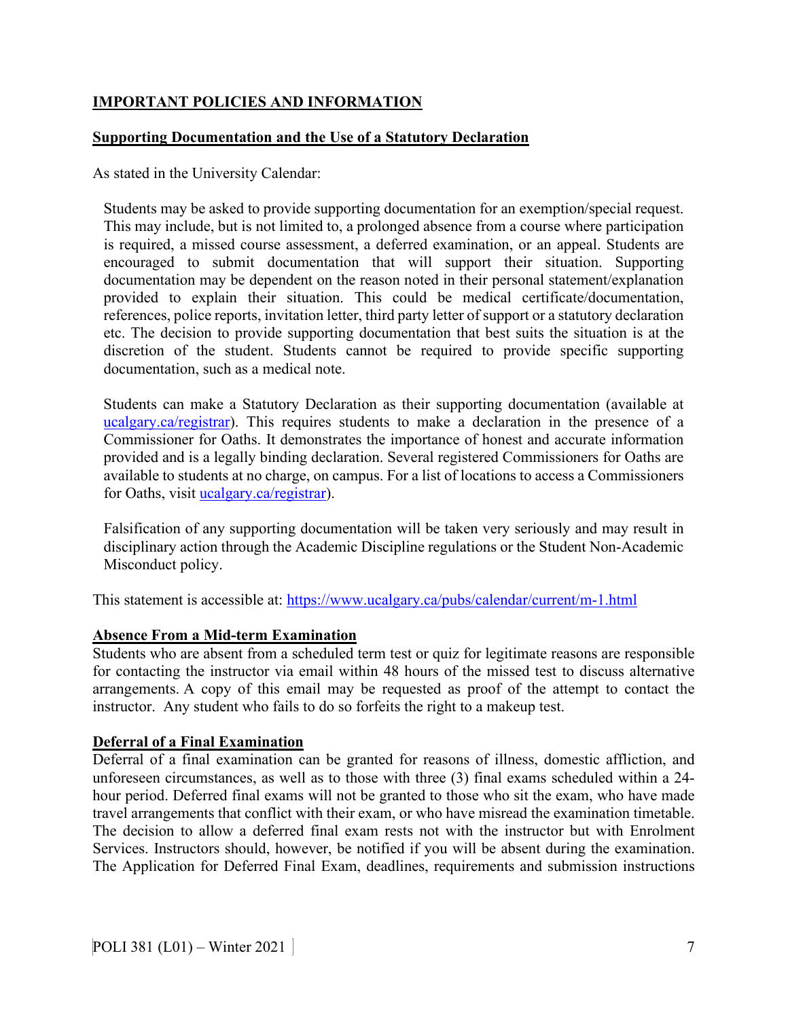# **IMPORTANT POLICIES AND INFORMATION**

### **Supporting Documentation and the Use of a Statutory Declaration**

As stated in the University Calendar:

Students may be asked to provide supporting documentation for an exemption/special request. This may include, but is not limited to, a prolonged absence from a course where participation is required, a missed course assessment, a deferred examination, or an appeal. Students are encouraged to submit documentation that will support their situation. Supporting documentation may be dependent on the reason noted in their personal statement/explanation provided to explain their situation. This could be medical certificate/documentation, references, police reports, invitation letter, third party letter of support or a statutory declaration etc. The decision to provide supporting documentation that best suits the situation is at the discretion of the student. Students cannot be required to provide specific supporting documentation, such as a medical note.

Students can make a Statutory Declaration as their supporting documentation (available at [ucalgary.ca/registrar\)](http://www.ucalgary.ca/registrar). This requires students to make a declaration in the presence of a Commissioner for Oaths. It demonstrates the importance of honest and accurate information provided and is a legally binding declaration. Several registered Commissioners for Oaths are available to students at no charge, on campus. For a list of locations to access a Commissioners for Oaths, visit [ucalgary.ca/registrar\)](http://www.ucalgary.ca/registrar).

Falsification of any supporting documentation will be taken very seriously and may result in disciplinary action through the Academic Discipline regulations or the Student Non-Academic Misconduct policy.

This statement is accessible at:<https://www.ucalgary.ca/pubs/calendar/current/m-1.html>

#### **Absence From a Mid-term Examination**

Students who are absent from a scheduled term test or quiz for legitimate reasons are responsible for contacting the instructor via email within 48 hours of the missed test to discuss alternative arrangements. A copy of this email may be requested as proof of the attempt to contact the instructor. Any student who fails to do so forfeits the right to a makeup test.

#### **Deferral of a Final Examination**

Deferral of a final examination can be granted for reasons of illness, domestic affliction, and unforeseen circumstances, as well as to those with three (3) final exams scheduled within a 24 hour period. Deferred final exams will not be granted to those who sit the exam, who have made travel arrangements that conflict with their exam, or who have misread the examination timetable. The decision to allow a deferred final exam rests not with the instructor but with Enrolment Services. Instructors should, however, be notified if you will be absent during the examination. The Application for Deferred Final Exam, deadlines, requirements and submission instructions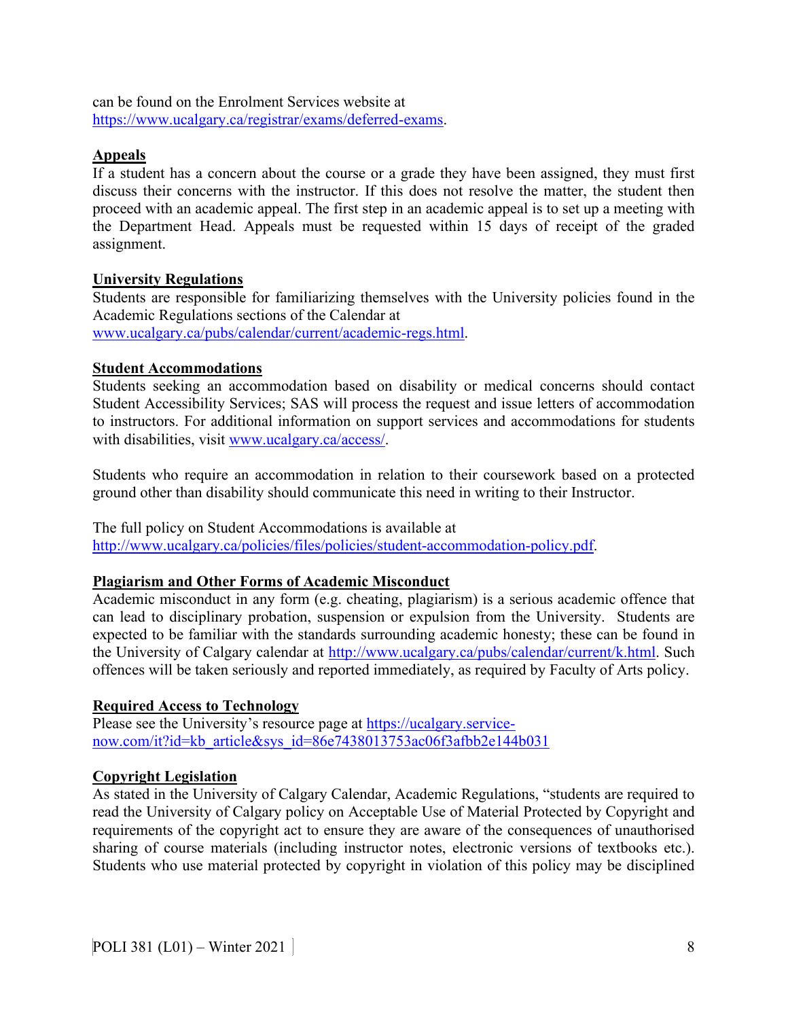can be found on the Enrolment Services website at [https://www.ucalgary.ca/registrar/exams/deferred-exams.](https://www.ucalgary.ca/registrar/exams/deferred-exams)

### **Appeals**

If a student has a concern about the course or a grade they have been assigned, they must first discuss their concerns with the instructor. If this does not resolve the matter, the student then proceed with an academic appeal. The first step in an academic appeal is to set up a meeting with the Department Head. Appeals must be requested within 15 days of receipt of the graded assignment.

### **University Regulations**

Students are responsible for familiarizing themselves with the University policies found in the Academic Regulations sections of the Calendar at [www.ucalgary.ca/pubs/calendar/current/academic-regs.html.](http://www.ucalgary.ca/pubs/calendar/current/academic-regs.html)

#### **Student Accommodations**

Students seeking an accommodation based on disability or medical concerns should contact Student Accessibility Services; SAS will process the request and issue letters of accommodation to instructors. For additional information on support services and accommodations for students with disabilities, visit [www.ucalgary.ca/access/.](http://www.ucalgary.ca/access/)

Students who require an accommodation in relation to their coursework based on a protected ground other than disability should communicate this need in writing to their Instructor.

The full policy on Student Accommodations is available at [http://www.ucalgary.ca/policies/files/policies/student-accommodation-policy.pdf.](http://www.ucalgary.ca/policies/files/policies/student-accommodation-policy.pdf)

#### **Plagiarism and Other Forms of Academic Misconduct**

Academic misconduct in any form (e.g. cheating, plagiarism) is a serious academic offence that can lead to disciplinary probation, suspension or expulsion from the University. Students are expected to be familiar with the standards surrounding academic honesty; these can be found in the University of Calgary calendar at [http://www.ucalgary.ca/pubs/calendar/current/k.html.](http://www.ucalgary.ca/pubs/calendar/current/k.html) Such offences will be taken seriously and reported immediately, as required by Faculty of Arts policy.

#### **Required Access to Technology**

Please see the University's resource page at [https://ucalgary.service](https://ucalgary.service-now.com/it?id=kb_article&sys_id=86e7438013753ac06f3afbb2e144b031)[now.com/it?id=kb\\_article&sys\\_id=86e7438013753ac06f3afbb2e144b031](https://ucalgary.service-now.com/it?id=kb_article&sys_id=86e7438013753ac06f3afbb2e144b031)

#### **Copyright Legislation**

As stated in the University of Calgary Calendar, Academic Regulations, "students are required to read the University of Calgary policy on Acceptable Use of Material Protected by Copyright and requirements of the copyright act to ensure they are aware of the consequences of unauthorised sharing of course materials (including instructor notes, electronic versions of textbooks etc.). Students who use material protected by copyright in violation of this policy may be disciplined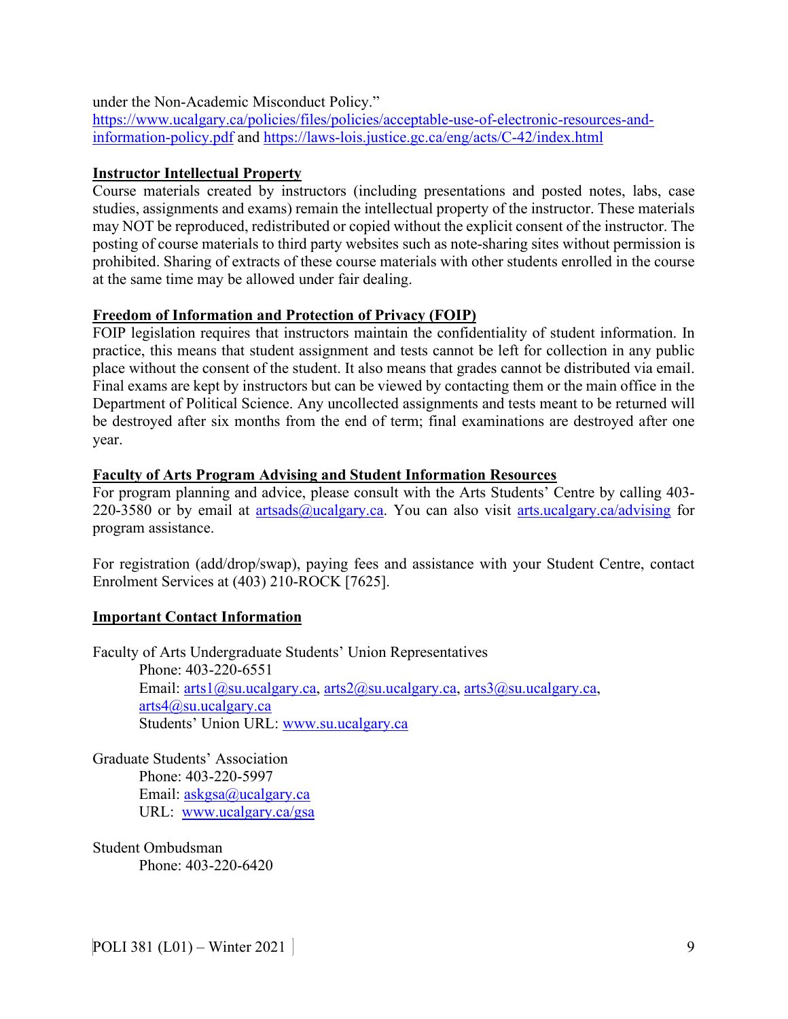under the Non-Academic Misconduct Policy."

[https://www.ucalgary.ca/policies/files/policies/acceptable-use-of-electronic-resources-and](https://www.ucalgary.ca/policies/files/policies/acceptable-use-of-electronic-resources-and-information-policy.pdf)[information-policy.pdf](https://www.ucalgary.ca/policies/files/policies/acceptable-use-of-electronic-resources-and-information-policy.pdf) and<https://laws-lois.justice.gc.ca/eng/acts/C-42/index.html>

## **Instructor Intellectual Property**

Course materials created by instructors (including presentations and posted notes, labs, case studies, assignments and exams) remain the intellectual property of the instructor. These materials may NOT be reproduced, redistributed or copied without the explicit consent of the instructor. The posting of course materials to third party websites such as note-sharing sites without permission is prohibited. Sharing of extracts of these course materials with other students enrolled in the course at the same time may be allowed under fair dealing.

# **Freedom of Information and Protection of Privacy (FOIP)**

FOIP legislation requires that instructors maintain the confidentiality of student information. In practice, this means that student assignment and tests cannot be left for collection in any public place without the consent of the student. It also means that grades cannot be distributed via email. Final exams are kept by instructors but can be viewed by contacting them or the main office in the Department of Political Science. Any uncollected assignments and tests meant to be returned will be destroyed after six months from the end of term; final examinations are destroyed after one year.

## **Faculty of Arts Program Advising and Student Information Resources**

For program planning and advice, please consult with the Arts Students' Centre by calling 403 220-3580 or by email at [artsads@ucalgary.ca.](mailto:artsads@ucalgary.ca) You can also visit [arts.ucalgary.ca/advising](http://arts.ucalgary.ca/advising) for program assistance.

For registration (add/drop/swap), paying fees and assistance with your Student Centre, contact Enrolment Services at (403) 210-ROCK [7625].

## **Important Contact Information**

Faculty of Arts Undergraduate Students' Union Representatives Phone: 403-220-6551 Email:  $arts1$  ( $\partial$ )su.ucalgary.ca,  $arts2$  ( $\partial$ )su.ucalgary.ca,  $arts3$  ( $\partial$ )su.ucalgary.ca, [arts4@su.ucalgary.ca](mailto:arts4@su.ucalgary.ca) Students' Union URL: [www.su.ucalgary.ca](http://www.su.ucalgary.ca/)

Graduate Students' Association Phone: 403-220-5997 Email: [askgsa@ucalgary.ca](mailto:askgsa@ucalgary.ca) URL: [www.ucalgary.ca/gsa](http://www.ucalgary.ca/gsa)

Student Ombudsman Phone: 403-220-6420